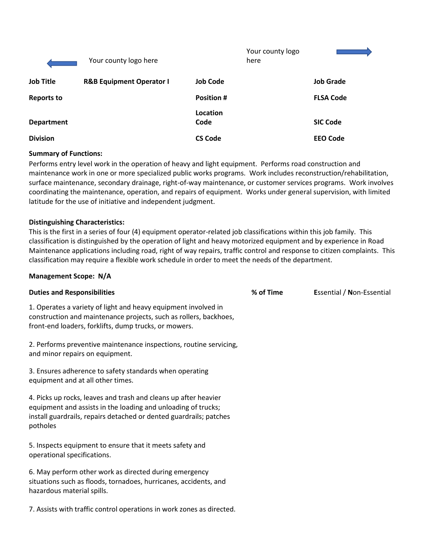|                   | Your county logo here               |                   | Your county logo<br>here |                  |
|-------------------|-------------------------------------|-------------------|--------------------------|------------------|
| <b>Job Title</b>  | <b>R&amp;B Equipment Operator I</b> | <b>Job Code</b>   |                          | <b>Job Grade</b> |
| <b>Reports to</b> |                                     | <b>Position #</b> |                          | <b>FLSA Code</b> |
| <b>Department</b> |                                     | Location<br>Code  |                          | <b>SIC Code</b>  |
| <b>Division</b>   |                                     | <b>CS Code</b>    |                          | <b>EEO Code</b>  |

#### **Summary of Functions:**

Performs entry level work in the operation of heavy and light equipment. Performs road construction and maintenance work in one or more specialized public works programs. Work includes reconstruction/rehabilitation, surface maintenance, secondary drainage, right-of-way maintenance, or customer services programs. Work involves coordinating the maintenance, operation, and repairs of equipment. Works under general supervision, with limited latitude for the use of initiative and independent judgment.

#### **Distinguishing Characteristics:**

This is the first in a series of four (4) equipment operator-related job classifications within this job family. This classification is distinguished by the operation of light and heavy motorized equipment and by experience in Road Maintenance applications including road, right of way repairs, traffic control and response to citizen complaints. This classification may require a flexible work schedule in order to meet the needs of the department.

#### **Management Scope: N/A**

| <b>Duties and Responsibilities</b>                                                                                                                                                                                 | % of Time | <b>Essential / Non-Essential</b> |
|--------------------------------------------------------------------------------------------------------------------------------------------------------------------------------------------------------------------|-----------|----------------------------------|
| 1. Operates a variety of light and heavy equipment involved in<br>construction and maintenance projects, such as rollers, backhoes,<br>front-end loaders, forklifts, dump trucks, or mowers.                       |           |                                  |
| 2. Performs preventive maintenance inspections, routine servicing,<br>and minor repairs on equipment.                                                                                                              |           |                                  |
| 3. Ensures adherence to safety standards when operating<br>equipment and at all other times.                                                                                                                       |           |                                  |
| 4. Picks up rocks, leaves and trash and cleans up after heavier<br>equipment and assists in the loading and unloading of trucks;<br>install guardrails, repairs detached or dented guardrails; patches<br>potholes |           |                                  |
| 5. Inspects equipment to ensure that it meets safety and<br>operational specifications.                                                                                                                            |           |                                  |
| 6. May perform other work as directed during emergency<br>situations such as floods, tornadoes, hurricanes, accidents, and<br>hazardous material spills.                                                           |           |                                  |

7. Assists with traffic control operations in work zones as directed.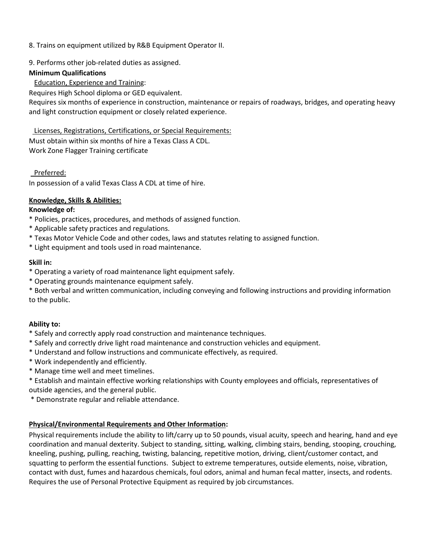- 8. Trains on equipment utilized by R&B Equipment Operator II.
- 9. Performs other job-related duties as assigned.

## **Minimum Qualifications**

Education, Experience and Training:

Requires High School diploma or GED equivalent.

Requires six months of experience in construction, maintenance or repairs of roadways, bridges, and operating heavy and light construction equipment or closely related experience.

 Licenses, Registrations, Certifications, or Special Requirements: Must obtain within six months of hire a Texas Class A CDL. Work Zone Flagger Training certificate

## Preferred:

In possession of a valid Texas Class A CDL at time of hire.

## **Knowledge, Skills & Abilities:**

## **Knowledge of:**

- \* Policies, practices, procedures, and methods of assigned function.
- \* Applicable safety practices and regulations.
- \* Texas Motor Vehicle Code and other codes, laws and statutes relating to assigned function.
- \* Light equipment and tools used in road maintenance.

## **Skill in:**

- \* Operating a variety of road maintenance light equipment safely.
- \* Operating grounds maintenance equipment safely.

\* Both verbal and written communication, including conveying and following instructions and providing information to the public.

# **Ability to:**

- \* Safely and correctly apply road construction and maintenance techniques.
- \* Safely and correctly drive light road maintenance and construction vehicles and equipment.
- \* Understand and follow instructions and communicate effectively, as required.
- \* Work independently and efficiently.
- \* Manage time well and meet timelines.

\* Establish and maintain effective working relationships with County employees and officials, representatives of outside agencies, and the general public.

\* Demonstrate regular and reliable attendance.

# **Physical/Environmental Requirements and Other Information:**

Physical requirements include the ability to lift/carry up to 50 pounds, visual acuity, speech and hearing, hand and eye coordination and manual dexterity. Subject to standing, sitting, walking, climbing stairs, bending, stooping, crouching, kneeling, pushing, pulling, reaching, twisting, balancing, repetitive motion, driving, client/customer contact, and squatting to perform the essential functions. Subject to extreme temperatures, outside elements, noise, vibration, contact with dust, fumes and hazardous chemicals, foul odors, animal and human fecal matter, insects, and rodents. Requires the use of Personal Protective Equipment as required by job circumstances.